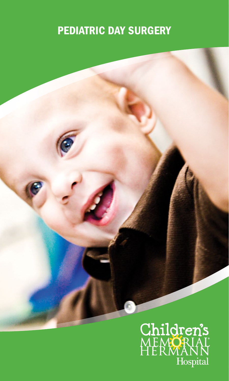### PEDIATRIC DAY SURGERY

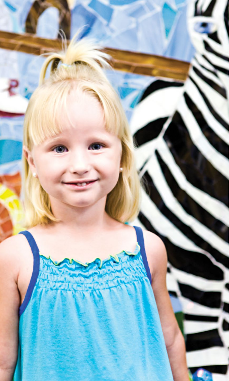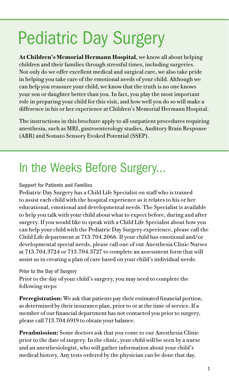# Pediatric Day Surgery

**At Children's Memorial Hermann Hospital**, we know all about helping children and their families through stressful times, including surgeries. Not only do we offer excellent medical and surgical care, we also take pride in helping you take care of the emotional needs of your child. Although we can help you reassure your child, we know that the truth is no one knows your son or daughter better than you. In fact, you play the most important role in preparing your child for this visit, and how well you do so will make a difference in his or her experience at Children's Memorial Hermann Hospital.

The instructions in this brochure apply to all outpatient procedures requiring anesthesia, such as MRI, gastroenterology studies, Auditory Brain Response (ABR) and Somato Sensory Evoked Potential (SSEP).

### In the Weeks Before Surgery…

### Support for Patients and Families

Pediatric Day Surgery has a Child Life Specialist on staff who is trained to assist each child with the hospital experience as it relates to his or her educational, emotional and developmental needs. The Specialist is available to help you talk with your child about what to expect before, during and after surgery. If you would like to speak with a Child Life Specialist about how you can help your child with the Pediatric Day Surgery experience, please call the Child Life department at 713.704.2066. If your child has emotional and/or developmental special needs, please call one of our Anesthesia Clinic Nurses at 713.704.3724 or 713.704.3727 to complete an assessment form that will assist us in creating a plan of care based on your child's individual needs.

#### Prior to the Day of Surgery

Prior to the day of your child's surgery, you may need to complete the following steps:

**Preregistration:** We ask that patients pay their estimated financial portion, as determined by their insurance plan, prior to or at the time of service. If a member of our financial department has not contacted you prior to surgery, please call 713.704.6919 to obtain your balance.

**Preadmission:** Some doctors ask that you come to our Anesthesia Clinic prior to the date of surgery. In the clinic, your child will be seen by a nurse and an anesthesiologist, who will gather information about your child's medical history. Any tests ordered by the physician can be done that day.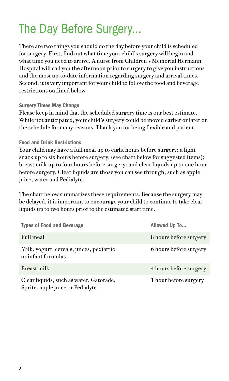### The Day Before Surgery…

There are two things you should do the day before your child is scheduled for surgery. First, find out what time your child's surgery will begin and what time you need to arrive. A nurse from Children's Memorial Hermann Hospital will call you the afternoon prior to surgery to give you instructions and the most up-to-date information regarding surgery and arrival times. Second, it is very important for your child to follow the food and beverage restrictions outlined below.

#### Surgery Times May Change

Please keep in mind that the scheduled surgery time is our best estimate. While not anticipated, your child's surgery could be moved earlier or later on the schedule for many reasons. Thank you for being flexible and patient.

#### Food and Drink Restrictions

Your child may have a full meal up to eight hours before surgery; a light snack up to six hours before surgery, (see chart below for suggested items); breast milk up to four hours before surgery; and clear liquids up to one hour before surgery. Clear liquids are those you can see through, such as apple juice, water and Pedialyte.

The chart below summarizes these requirements. Because the surgery may be delayed, it is important to encourage your child to continue to take clear liquids up to two hours prior to the estimated start time.

| <b>Types of Food and Beverage</b>                                           | <b>Allowed Up To</b>   |
|-----------------------------------------------------------------------------|------------------------|
| Full meal                                                                   | 8 hours before surgery |
| Milk, yogurt, cereals, juices, pediatric<br>or infant formulas              | 6 hours before surgery |
| Breast milk                                                                 | 4 hours before surgery |
| Clear liquids, such as water, Gatorade,<br>Sprite, apple juice or Pedialyte | 1 hour before surgery  |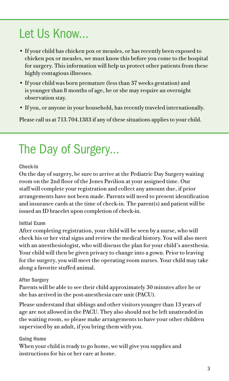### Let Us Know…

- If your child has chicken pox or measles, or has recently been exposed to chicken pox or measles, we must know this before you come to the hospital for surgery. This information will help us protect other patients from these highly contagious illnesses.
- If your child was born premature (less than 37 weeks gestation) and is younger than 8 months of age, he or she may require an overnight observation stay.
- If you, or anyone in your household, has recently traveled internationally.

Please call us at 713.704.1383 if any of these situations applies to your child.

## The Day of Surgery…

#### Check-in

On the day of surgery, be sure to arrive at the Pediatric Day Surgery waiting room on the 2nd floor of the Jones Pavilion at your assigned time. Our staff will complete your registration and collect any amount due, if prior arrangements have not been made. Parents will need to present identification and insurance cards at the time of check-in. The parent(s) and patient will be issued an ID bracelet upon completion of check-in.

### Initial Exam

After completing registration, your child will be seen by a nurse, who will check his or her vital signs and review the medical history. You will also meet with an anesthesiologist, who will discuss the plan for your child's anesthesia. Your child will then be given privacy to change into a gown. Prior to leaving for the surgery, you will meet the operating room nurses. Your child may take along a favorite stuffed animal.

### After Surgery

Parents will be able to see their child approximately 30 minutes after he or she has arrived in the post-anesthesia care unit (PACU).

Please understand that siblings and other visitors younger than 13 years of age are not allowed in the PACU. They also should not be left unattended in the waiting room, so please make arrangements to have your other children supervised by an adult, if you bring them with you.

### Going Home

When your child is ready to go home, we will give you supplies and instructions for his or her care at home.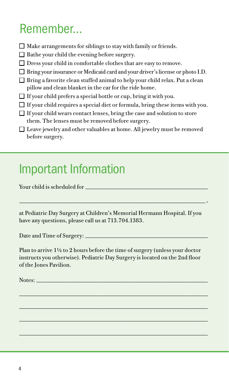### Remember…

- $\Box$  Make arrangements for siblings to stay with family or friends.
- $\Box$  Bathe your child the evening before surgery.
- $\Box$  Dress your child in comfortable clothes that are easy to remove.
- $\Box$  Bring your insurance or Medicaid card and your driver's license or photo I.D.
- $\Box$  Bring a favorite clean stuffed animal to help your child relax. Put a clean pillow and clean blanket in the car for the ride home.
- $\Box$  If your child prefers a special bottle or cup, bring it with you.
- $\Box$  If your child requires a special diet or formula, bring these items with you.
- $\Box$  If your child wears contact lenses, bring the case and solution to store them. The lenses must be removed before surgery.
- $\Box$  Leave jewelry and other valuables at home. All jewelry must be removed before surgery.

### Important Information

Your child is scheduled for

at Pediatric Day Surgery at Children's Memorial Hermann Hospital. If you have any questions, please call us at 713.704.1383.

\_\_\_\_\_\_\_\_\_\_\_\_\_\_\_\_\_\_\_\_\_\_\_\_\_\_\_\_\_\_\_\_\_\_\_\_\_\_\_\_\_\_\_\_\_\_\_\_\_\_\_\_\_\_\_\_\_\_\_\_\_\_\_\_\_\_\_\_\_\_\_\_\_\_\_\_,

Date and Time of Surgery: \_\_\_\_\_\_\_\_\_\_\_\_\_\_\_\_\_\_\_\_\_\_\_\_\_\_\_\_\_\_\_\_\_\_\_\_\_\_\_\_\_\_\_\_\_\_\_\_\_\_

Plan to arrive  $1\frac{1}{2}$  to 2 hours before the time of surgery (unless your doctor instructs you otherwise). Pediatric Day Surgery is located on the 2nd floor of the Jones Pavilion.

\_\_\_\_\_\_\_\_\_\_\_\_\_\_\_\_\_\_\_\_\_\_\_\_\_\_\_\_\_\_\_\_\_\_\_\_\_\_\_\_\_\_\_\_\_\_\_\_\_\_\_\_\_\_\_\_\_\_\_\_\_\_\_\_\_\_\_\_\_\_\_\_\_\_\_\_\_

\_\_\_\_\_\_\_\_\_\_\_\_\_\_\_\_\_\_\_\_\_\_\_\_\_\_\_\_\_\_\_\_\_\_\_\_\_\_\_\_\_\_\_\_\_\_\_\_\_\_\_\_\_\_\_\_\_\_\_\_\_\_\_\_\_\_\_\_\_\_\_\_\_\_\_\_\_

\_\_\_\_\_\_\_\_\_\_\_\_\_\_\_\_\_\_\_\_\_\_\_\_\_\_\_\_\_\_\_\_\_\_\_\_\_\_\_\_\_\_\_\_\_\_\_\_\_\_\_\_\_\_\_\_\_\_\_\_\_\_\_\_\_\_\_\_\_\_\_\_\_\_\_\_\_

\_\_\_\_\_\_\_\_\_\_\_\_\_\_\_\_\_\_\_\_\_\_\_\_\_\_\_\_\_\_\_\_\_\_\_\_\_\_\_\_\_\_\_\_\_\_\_\_\_\_\_\_\_\_\_\_\_\_\_\_\_\_\_\_\_\_\_\_\_\_\_\_\_\_\_\_\_

Notes: \_\_\_\_\_\_\_\_\_\_\_\_\_\_\_\_\_\_\_\_\_\_\_\_\_\_\_\_\_\_\_\_\_\_\_\_\_\_\_\_\_\_\_\_\_\_\_\_\_\_\_\_\_\_\_\_\_\_\_\_\_\_\_\_\_\_\_\_\_\_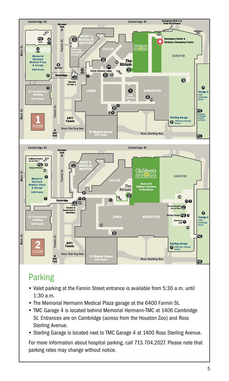

### Parking

- Valet parking at the Fannin Street entrance is available from 5:30 a.m. until 1:30 a.m.
- The Memorial Hermann Medical Plaza garage at the 6400 Fannin St.
- TMC Garage 4 is located behind Memorial Hermann-TMC at 1406 Cambridge St. Entrances are on Cambridge (across from the Houston Zoo) and Ross Sterling Avenue.
- Sterling Garage is located next to TMC Garage 4 at 1400 Ross Sterling Avenue.

For more information about hospital parking, call 713.704.2027. Please note that parking rates may change without notice.